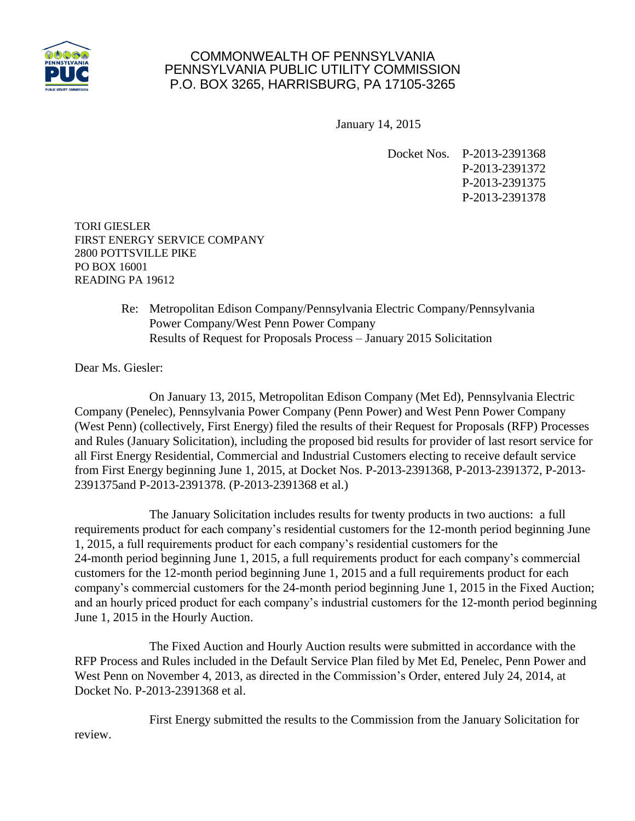

## COMMONWEALTH OF PENNSYLVANIA PENNSYLVANIA PUBLIC UTILITY COMMISSION P.O. BOX 3265, HARRISBURG, PA 17105-3265

January 14, 2015

Docket Nos. P-2013-2391368 P-2013-2391372 P-2013-2391375 P-2013-2391378

TORI GIESLER FIRST ENERGY SERVICE COMPANY 2800 POTTSVILLE PIKE PO BOX 16001 READING PA 19612

> Re: Metropolitan Edison Company/Pennsylvania Electric Company/Pennsylvania Power Company/West Penn Power Company Results of Request for Proposals Process – January 2015 Solicitation

Dear Ms. Giesler:

On January 13, 2015, Metropolitan Edison Company (Met Ed), Pennsylvania Electric Company (Penelec), Pennsylvania Power Company (Penn Power) and West Penn Power Company (West Penn) (collectively, First Energy) filed the results of their Request for Proposals (RFP) Processes and Rules (January Solicitation), including the proposed bid results for provider of last resort service for all First Energy Residential, Commercial and Industrial Customers electing to receive default service from First Energy beginning June 1, 2015, at Docket Nos. P-2013-2391368, P-2013-2391372, P-2013- 2391375and P-2013-2391378. (P-2013-2391368 et al.)

The January Solicitation includes results for twenty products in two auctions: a full requirements product for each company's residential customers for the 12-month period beginning June 1, 2015, a full requirements product for each company's residential customers for the 24-month period beginning June 1, 2015, a full requirements product for each company's commercial customers for the 12-month period beginning June 1, 2015 and a full requirements product for each company's commercial customers for the 24-month period beginning June 1, 2015 in the Fixed Auction; and an hourly priced product for each company's industrial customers for the 12-month period beginning June 1, 2015 in the Hourly Auction.

The Fixed Auction and Hourly Auction results were submitted in accordance with the RFP Process and Rules included in the Default Service Plan filed by Met Ed, Penelec, Penn Power and West Penn on November 4, 2013, as directed in the Commission's Order, entered July 24, 2014, at Docket No. P-2013-2391368 et al.

First Energy submitted the results to the Commission from the January Solicitation for review.